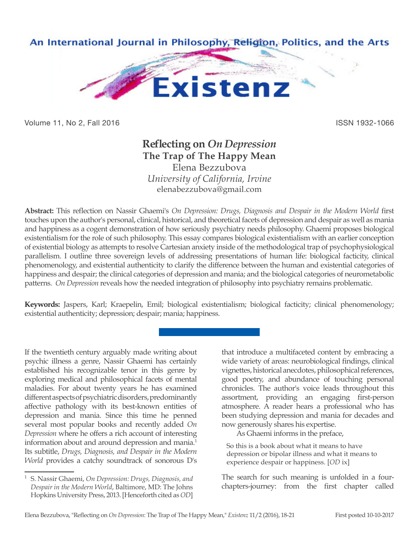

Volume 11, No 2, Fall 2016 ISSN 1932-1066

## **Reflecting on** *On Depression* **The Trap of The Happy Mean** Elena Bezzubova

*University of California, Irvine* elenabezzubova@gmail.com

**Abstract:** This reflection on Nassir Ghaemi's *On Depression: Drugs, Diagnosis and Despair in the Modern World* first touches upon the author's personal, clinical, historical, and theoretical facets of depression and despair as well as mania and happiness as a cogent demonstration of how seriously psychiatry needs philosophy. Ghaemi proposes biological existentialism for the role of such philosophy. This essay compares biological existentialism with an earlier conception of existential biology as attempts to resolve Cartesian anxiety inside of the methodological trap of psychophysiological parallelism. I outline three sovereign levels of addressing presentations of human life: biological facticity, clinical phenomenology, and existential authenticity to clarify the difference between the human and existential categories of happiness and despair; the clinical categories of depression and mania; and the biological categories of neurometabolic patterns. *On Depression* reveals how the needed integration of philosophy into psychiatry remains problematic.

**Keywords:** Jaspers, Karl; Kraepelin, Emil; biological existentialism; biological facticity; clinical phenomenology; existential authenticity; depression; despair; mania; happiness.

If the twentieth century arguably made writing about psychic illness a genre, Nassir Ghaemi has certainly established his recognizable tenor in this genre by exploring medical and philosophical facets of mental maladies. For about twenty years he has examined different aspects of psychiatric disorders, predominantly affective pathology with its best-known entities of depression and mania. Since this time he penned several most popular books and recently added *On Depression* where he offers a rich account of interesting information about and around depression and mania.<sup>1</sup> Its subtitle, *Drugs, Diagnosis, and Despair in the Modern World* provides a catchy soundtrack of sonorous D's

that introduce a multifaceted content by embracing a wide variety of areas: neurobiological findings, clinical vignettes, historical anecdotes, philosophical references, good poetry, and abundance of touching personal chronicles. The author's voice leads throughout this assortment, providing an engaging first-person atmosphere. A reader hears a professional who has been studying depression and mania for decades and now generously shares his expertise.

As Ghaemi informs in the preface,

So this is a book about what it means to have depression or bipolar illness and what it means to experience despair or happiness. [*OD* ix]

The search for such meaning is unfolded in a fourchapters-journey: from the first chapter called

<sup>1</sup> S. Nassir Ghaemi, *On Depression: Drugs, Diagnosis, and Despair in the Modern World*, Baltimore, MD: The Johns Hopkins University Press, 2013. [Henceforth cited as *OD*]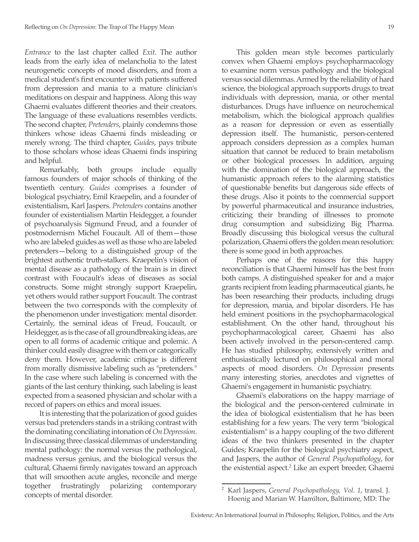*Entrance* to the last chapter called *Exit*. The author leads from the early idea of melancholia to the latest neurogenetic concepts of mood disorders, and from a medical student's first encounter with patients suffered from depression and mania to a mature clinician's meditations on despair and happiness. Along this way Ghaemi evaluates different theories and their creators. The language of these evaluations resembles verdicts. The second chapter, *Pretenders*, plainly condemns those thinkers whose ideas Ghaemi finds misleading or merely wrong. The third chapter, *Guides*, pays tribute to those scholars whose ideas Ghaemi finds inspiring and helpful.

Remarkably, both groups include equally famous founders of major schools of thinking of the twentieth century. *Guides* comprises a founder of biological psychiatry, Emil Kraepelin, and a founder of existentialism, Karl Jaspers. *Pretenders* contains another founder of existentialism Martin Heidegger, a founder of psychoanalysis Sigmund Freud, and a founder of postmodernism Michel Foucault. All of them—those who are labeled guides as well as those who are labeled pretenders—belong to a distinguished group of the brightest authentic truth-stalkers. Kraepelin's vision of mental disease as a pathology of the brain is in direct contrast with Foucault's ideas of diseases as social constructs. Some might strongly support Kraepelin, yet others would rather support Foucault. The contrast between the two corresponds with the complexity of the phenomenon under investigation: mental disorder. Certainly, the seminal ideas of Freud, Foucault, or Heidegger, as is the case of all groundbreaking ideas, are open to all forms of academic critique and polemic. A thinker could easily disagree with them or categorically deny them. However, academic critique is different from morally dismissive labeling such as "pretenders." In the case where such labeling is concerned with the giants of the last century thinking, such labeling is least expected from a seasoned physician and scholar with a record of papers on ethics and moral issues.

It is interesting that the polarization of good guides versus bad pretenders stands in a striking contrast with the dominating conciliating intonation of *On Depression*. In discussing three classical dilemmas of understanding mental pathology: the normal versus the pathological, madness versus genius, and the biological versus the cultural, Ghaemi firmly navigates toward an approach that will smoothen acute angles, reconcile and merge together frustratingly polarizing contemporary concepts of mental disorder.

This golden mean style becomes particularly convex when Ghaemi employs psychopharmacology to examine norm versus pathology and the biological versus social dilemmas. Armed by the reliability of hard science, the biological approach supports drugs to treat individuals with depression, mania, or other mental disturbances. Drugs have influence on neurochemical metabolism, which the biological approach qualifies as a reason for depression or even as essentially depression itself. The humanistic, person-centered approach considers depression as a complex human situation that cannot be reduced to brain metabolism or other biological processes. In addition, arguing with the domination of the biological approach, the humanistic approach refers to the alarming statistics of questionable benefits but dangerous side effects of these drugs. Also it points to the commercial support by powerful pharmaceutical and insurance industries, criticizing their branding of illnesses to promote drug consumption and subsidizing Big Pharma. Broadly discussing this biological versus the cultural polarization, Ghaemi offers the golden mean resolution: there is some good in both approaches.

Perhaps one of the reasons for this happy reconciliation is that Ghaemi himself has the best from both camps. A distinguished speaker for and a major grants recipient from leading pharmaceutical giants, he has been researching their products, including drugs for depression, mania, and bipolar disorders. He has held eminent positions in the psychopharmacological establishment. On the other hand, throughout his psychopharmacological career, Ghaemi has also been actively involved in the person-centered camp. He has studied philosophy, extensively written and enthusiastically lectured on philosophical and moral aspects of mood disorders. *On Depression* presents many interesting stories, anecdotes and vignettes of Ghaemi's engagement in humanistic psychiatry.

Ghaemi's elaborations on the happy marriage of the biological and the person-centered culminate in the idea of biological existentialism that he has been establishing for a few years. The very term "biological existentialism" is a happy coupling of the two different ideas of the two thinkers presented in the chapter Guides; Kraepelin for the biological psychiatry aspect, and Jaspers, the author of *General Psychopathology*, for the existential aspect.<sup>2</sup> Like an expert breeder, Ghaemi

<sup>2</sup> Karl Jaspers, *General Psychopathology, Vol. 1*, transl. J. Hoenig and Marian W. Hamilton, Baltimore, MD: The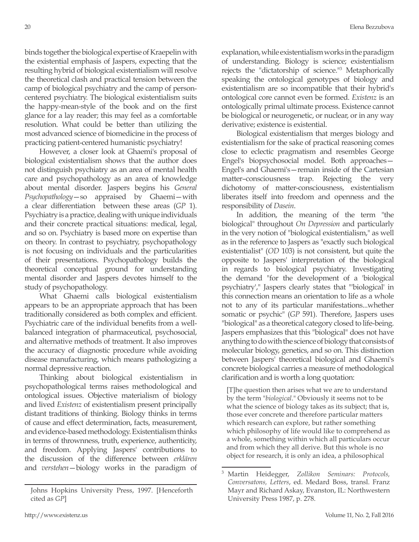binds together the biological expertise of Kraepelin with the existential emphasis of Jaspers, expecting that the resulting hybrid of biological existentialism will resolve the theoretical clash and practical tension between the camp of biological psychiatry and the camp of personcentered psychiatry. The biological existentialism suits the happy-mean-style of the book and on the first glance for a lay reader; this may feel as a comfortable resolution. What could be better than utilizing the most advanced science of biomedicine in the process of practicing patient-centered humanistic psychiatry!

However, a closer look at Ghaemi's proposal of biological existentialism shows that the author does not distinguish psychiatry as an area of mental health care and psychopathology as an area of knowledge about mental disorder. Jaspers begins his *General Psychopathology*—so appraised by Ghaemi—with a clear differentiation between these areas (*GP* 1). Psychiatry is a practice, dealing with unique individuals and their concrete practical situations: medical, legal, and so on. Psychiatry is based more on expertise than on theory. In contrast to psychiatry, psychopathology is not focusing on individuals and the particularities of their presentations. Psychopathology builds the theoretical conceptual ground for understanding mental disorder and Jaspers devotes himself to the study of psychopathology.

What Ghaemi calls biological existentialism appears to be an appropriate approach that has been traditionally considered as both complex and efficient. Psychiatric care of the individual benefits from a wellbalanced integration of pharmaceutical, psychosocial, and alternative methods of treatment. It also improves the accuracy of diagnostic procedure while avoiding disease manufacturing, which means pathologizing a normal depressive reaction.

Thinking about biological existentialism in psychopathological terms raises methodological and ontological issues. Objective materialism of biology and lived *Existenz* of existentialism present principally distant traditions of thinking. Biology thinks in terms of cause and effect determination, facts, measurement, and evidence-based methodology. Existentialism thinks in terms of thrownness, truth, experience, authenticity, and freedom. Applying Jaspers' contributions to the discussion of the difference between *erklären* and *verstehen*—biology works in the paradigm of explanation, while existentialism works in the paradigm of understanding. Biology is science; existentialism rejects the "dictatorship of science."3 Metaphorically speaking the ontological genotypes of biology and existentialism are so incompatible that their hybrid's ontological core cannot even be formed. *Existenz* is an ontologically primal ultimate process. Existence cannot be biological or neurogenetic, or nuclear, or in any way derivative; existence is existential.

Biological existentialism that merges biology and existentialism for the sake of practical reasoning comes close to eclectic pragmatism and resembles George Engel's biopsychosocial model. Both approaches— Engel's and Ghaemi's—remain inside of the Cartesian matter–consciousness trap. Rejecting the very dichotomy of matter-consciousness, existentialism liberates itself into freedom and openness and the responsibility of *Dasein*.

In addition, the meaning of the term "the biological" throughout *On Depression* and particularly in the very notion of "biological existentialism," as well as in the reference to Jaspers as "exactly such biological existentialist" (*OD* 103) is not consistent, but quite the opposite to Jaspers' interpretation of the biological in regards to biological psychiatry. Investigating the demand "for the development of a 'biological psychiatry'," Jaspers clearly states that "'biological' in this connection means an orientation to life as a whole not to any of its particular manifestations...whether somatic or psychic" (*GP* 591). Therefore, Jaspers uses "biological" as a theoretical category closed to life-being. Jaspers emphasizes that this "biological" does not have anything to do with the science of biology that consists of molecular biology, genetics, and so on. This distinction between Jaspers' theoretical biological and Ghaemi's concrete biological carries a measure of methodological clarification and is worth a long quotation:

[T]he question then arises what we are to understand by the term "*biological*." Obviously it seems not to be what the science of biology takes as its subject; that is, those ever concrete and therefore particular matters which research can explore, but rather something which philosophy of life would like to comprehend as a whole, something within which all particulars occur and from which they all derive. But this whole is no object for research, it is only an idea, a philosophical

Johns Hopkins University Press, 1997. [Henceforth cited as *GP*]

<sup>3</sup> Martin Heidegger, *Zollikon Seminars: Protocols, Conversatons, Letters*, ed. Medard Boss, transl. Franz Mayr and Richard Askay, Evanston, IL: Northwestern University Press 1987, p. 278.